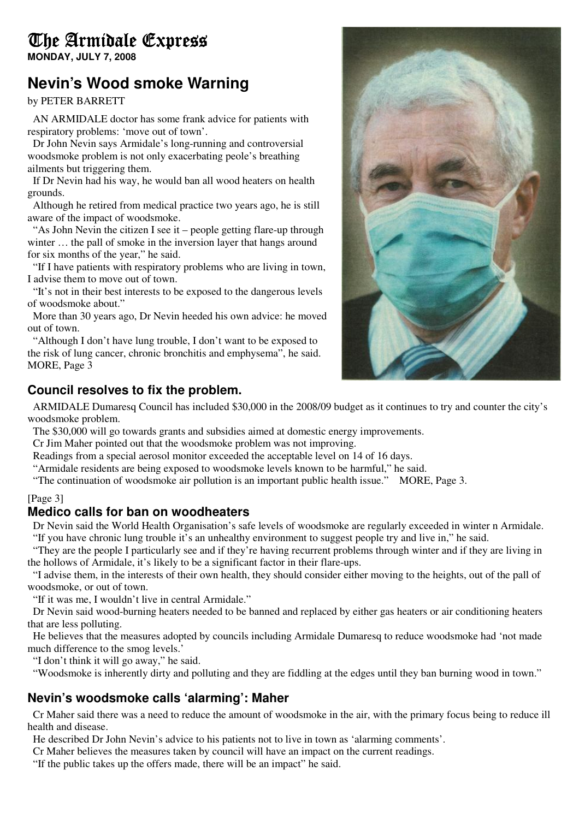# The Armidale Express

**MONDAY, JULY 7, 2008** 

# **Nevin's Wood smoke Warning**

by PETER BARRETT

AN ARMIDALE doctor has some frank advice for patients with respiratory problems: 'move out of town'.

Dr John Nevin says Armidale's long-running and controversial woodsmoke problem is not only exacerbating peole's breathing ailments but triggering them.

If Dr Nevin had his way, he would ban all wood heaters on health grounds.

Although he retired from medical practice two years ago, he is still aware of the impact of woodsmoke.

"As John Nevin the citizen I see it – people getting flare-up through winter ... the pall of smoke in the inversion layer that hangs around for six months of the year," he said.

"If I have patients with respiratory problems who are living in town, I advise them to move out of town.

"It's not in their best interests to be exposed to the dangerous levels of woodsmoke about."

More than 30 years ago, Dr Nevin heeded his own advice: he moved out of town.

"Although I don't have lung trouble, I don't want to be exposed to the risk of lung cancer, chronic bronchitis and emphysema", he said. MORE, Page 3

## **Council resolves to fix the problem.**

ARMIDALE Dumaresq Council has included \$30,000 in the 2008/09 budget as it continues to try and counter the city's woodsmoke problem.

The \$30,000 will go towards grants and subsidies aimed at domestic energy improvements.

Cr Jim Maher pointed out that the woodsmoke problem was not improving.

Readings from a special aerosol monitor exceeded the acceptable level on 14 of 16 days.

"Armidale residents are being exposed to woodsmoke levels known to be harmful," he said.

"The continuation of woodsmoke air pollution is an important public health issue." MORE, Page 3.

#### [Page 3]

### **Medico calls for ban on woodheaters**

Dr Nevin said the World Health Organisation's safe levels of woodsmoke are regularly exceeded in winter n Armidale. "If you have chronic lung trouble it's an unhealthy environment to suggest people try and live in," he said.

"They are the people I particularly see and if they're having recurrent problems through winter and if they are living in the hollows of Armidale, it's likely to be a significant factor in their flare-ups.

"I advise them, in the interests of their own health, they should consider either moving to the heights, out of the pall of woodsmoke, or out of town.

"If it was me, I wouldn't live in central Armidale."

Dr Nevin said wood-burning heaters needed to be banned and replaced by either gas heaters or air conditioning heaters that are less polluting.

He believes that the measures adopted by councils including Armidale Dumaresq to reduce woodsmoke had 'not made much difference to the smog levels.'

"I don't think it will go away," he said.

"Woodsmoke is inherently dirty and polluting and they are fiddling at the edges until they ban burning wood in town."

### **Nevin's woodsmoke calls 'alarming': Maher**

Cr Maher said there was a need to reduce the amount of woodsmoke in the air, with the primary focus being to reduce ill health and disease.

He described Dr John Nevin's advice to his patients not to live in town as 'alarming comments'.

Cr Maher believes the measures taken by council will have an impact on the current readings.

"If the public takes up the offers made, there will be an impact" he said.